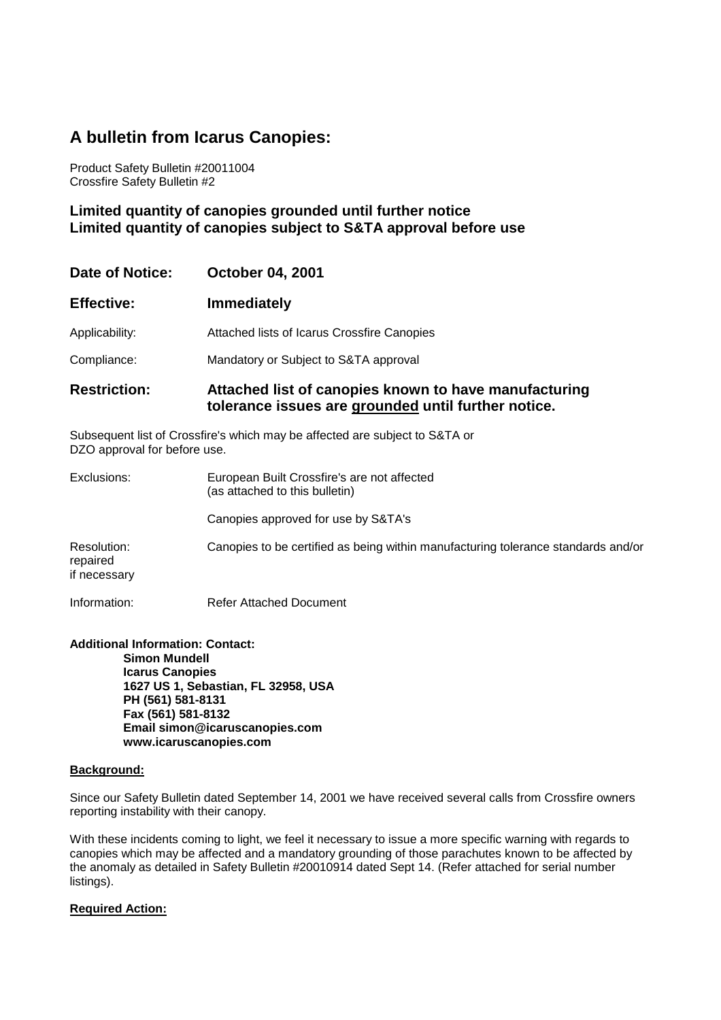# **A bulletin from Icarus Canopies:**

Product Safety Bulletin #20011004 Crossfire Safety Bulletin #2

**Limited quantity of canopies grounded until further notice Limited quantity of canopies subject to S&TA approval before use** 

| Date of Notice:     | <b>October 04, 2001</b>                                                                                      |
|---------------------|--------------------------------------------------------------------------------------------------------------|
| <b>Effective:</b>   | <b>Immediately</b>                                                                                           |
| Applicability:      | Attached lists of Icarus Crossfire Canopies                                                                  |
| Compliance:         | Mandatory or Subject to S&TA approval                                                                        |
| <b>Restriction:</b> | Attached list of canopies known to have manufacturing<br>tolerance issues are grounded until further notice. |

Subsequent list of Crossfire's which may be affected are subject to S&TA or DZO approval for before use.

| Exclusions:                             | European Built Crossfire's are not affected<br>(as attached to this bulletin)     |  |  |
|-----------------------------------------|-----------------------------------------------------------------------------------|--|--|
|                                         | Canopies approved for use by S&TA's                                               |  |  |
| Resolution:<br>repaired<br>if necessary | Canopies to be certified as being within manufacturing tolerance standards and/or |  |  |

Information: Refer Attached Document

**Additional Information: Contact: Simon Mundell Icarus Canopies 1627 US 1, Sebastian, FL 32958, USA PH (561) 581-8131 Fax (561) 581-8132 Email simon@icaruscanopies.com www.icaruscanopies.com** 

# **Background:**

Since our Safety Bulletin dated September 14, 2001 we have received several calls from Crossfire owners reporting instability with their canopy.

With these incidents coming to light, we feel it necessary to issue a more specific warning with regards to canopies which may be affected and a mandatory grounding of those parachutes known to be affected by the anomaly as detailed in Safety Bulletin #20010914 dated Sept 14. (Refer attached for serial number listings).

# **Required Action:**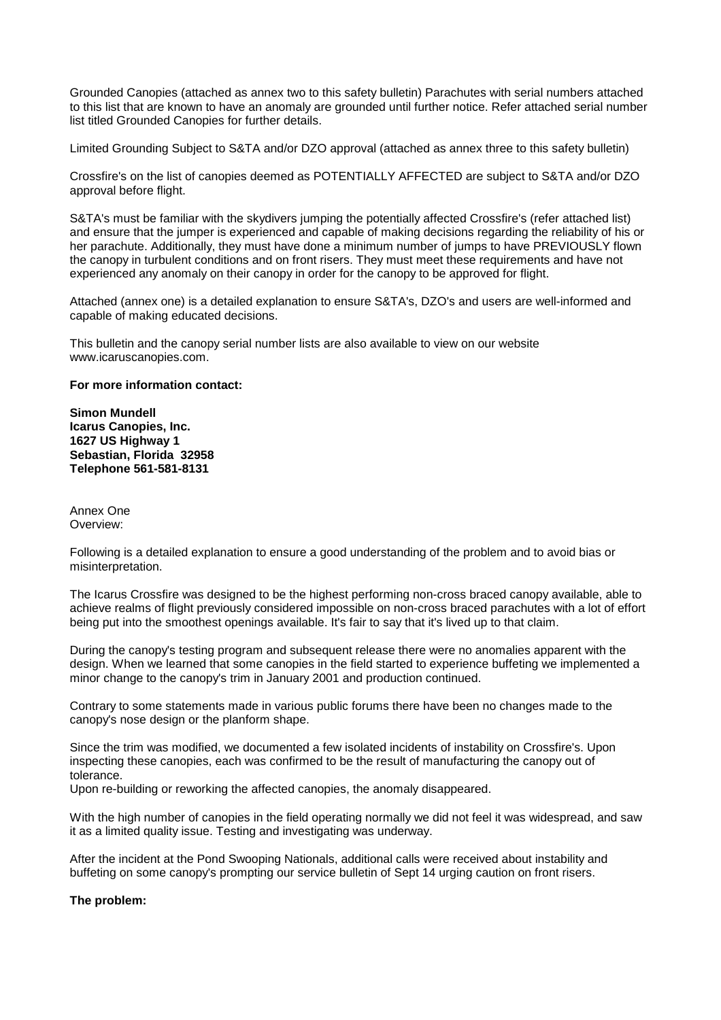Grounded Canopies (attached as annex two to this safety bulletin) Parachutes with serial numbers attached to this list that are known to have an anomaly are grounded until further notice. Refer attached serial number list titled Grounded Canopies for further details.

Limited Grounding Subject to S&TA and/or DZO approval (attached as annex three to this safety bulletin)

Crossfire's on the list of canopies deemed as POTENTIALLY AFFECTED are subject to S&TA and/or DZO approval before flight.

S&TA's must be familiar with the skydivers jumping the potentially affected Crossfire's (refer attached list) and ensure that the jumper is experienced and capable of making decisions regarding the reliability of his or her parachute. Additionally, they must have done a minimum number of jumps to have PREVIOUSLY flown the canopy in turbulent conditions and on front risers. They must meet these requirements and have not experienced any anomaly on their canopy in order for the canopy to be approved for flight.

Attached (annex one) is a detailed explanation to ensure S&TA's, DZO's and users are well-informed and capable of making educated decisions.

This bulletin and the canopy serial number lists are also available to view on our website www.icaruscanopies.com.

#### **For more information contact:**

**Simon Mundell Icarus Canopies, Inc. 1627 US Highway 1 Sebastian, Florida 32958 Telephone 561-581-8131** 

Annex One Overview:

Following is a detailed explanation to ensure a good understanding of the problem and to avoid bias or misinterpretation.

The Icarus Crossfire was designed to be the highest performing non-cross braced canopy available, able to achieve realms of flight previously considered impossible on non-cross braced parachutes with a lot of effort being put into the smoothest openings available. It's fair to say that it's lived up to that claim.

During the canopy's testing program and subsequent release there were no anomalies apparent with the design. When we learned that some canopies in the field started to experience buffeting we implemented a minor change to the canopy's trim in January 2001 and production continued.

Contrary to some statements made in various public forums there have been no changes made to the canopy's nose design or the planform shape.

Since the trim was modified, we documented a few isolated incidents of instability on Crossfire's. Upon inspecting these canopies, each was confirmed to be the result of manufacturing the canopy out of tolerance.

Upon re-building or reworking the affected canopies, the anomaly disappeared.

With the high number of canopies in the field operating normally we did not feel it was widespread, and saw it as a limited quality issue. Testing and investigating was underway.

After the incident at the Pond Swooping Nationals, additional calls were received about instability and buffeting on some canopy's prompting our service bulletin of Sept 14 urging caution on front risers.

## **The problem:**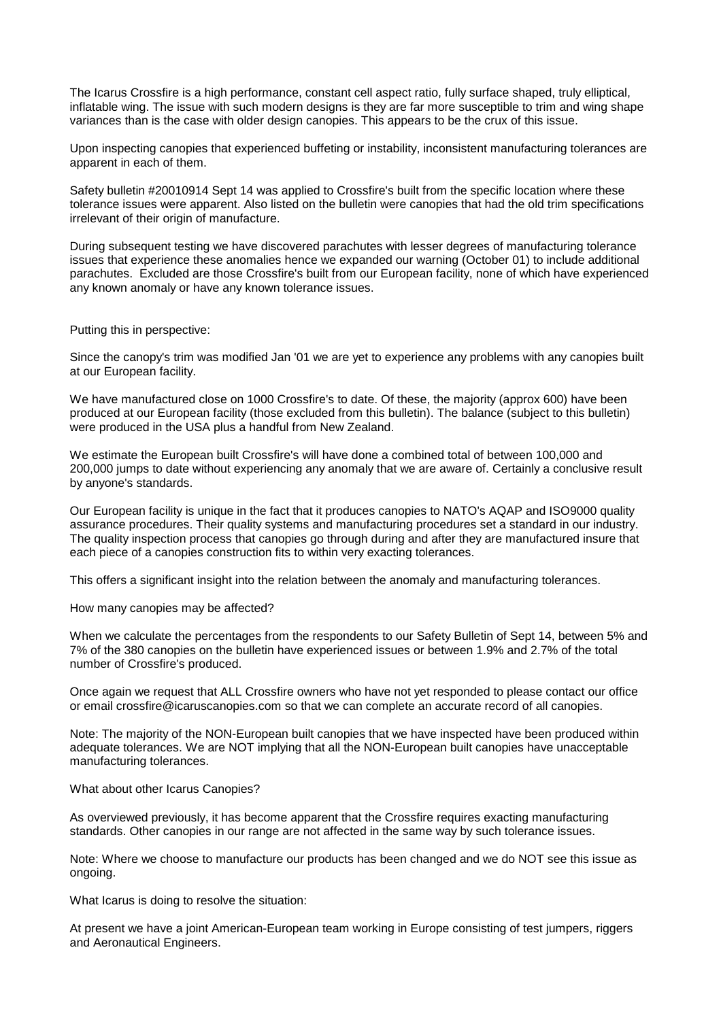The Icarus Crossfire is a high performance, constant cell aspect ratio, fully surface shaped, truly elliptical, inflatable wing. The issue with such modern designs is they are far more susceptible to trim and wing shape variances than is the case with older design canopies. This appears to be the crux of this issue.

Upon inspecting canopies that experienced buffeting or instability, inconsistent manufacturing tolerances are apparent in each of them.

Safety bulletin #20010914 Sept 14 was applied to Crossfire's built from the specific location where these tolerance issues were apparent. Also listed on the bulletin were canopies that had the old trim specifications irrelevant of their origin of manufacture.

During subsequent testing we have discovered parachutes with lesser degrees of manufacturing tolerance issues that experience these anomalies hence we expanded our warning (October 01) to include additional parachutes. Excluded are those Crossfire's built from our European facility, none of which have experienced any known anomaly or have any known tolerance issues.

Putting this in perspective:

Since the canopy's trim was modified Jan '01 we are yet to experience any problems with any canopies built at our European facility.

We have manufactured close on 1000 Crossfire's to date. Of these, the majority (approx 600) have been produced at our European facility (those excluded from this bulletin). The balance (subject to this bulletin) were produced in the USA plus a handful from New Zealand.

We estimate the European built Crossfire's will have done a combined total of between 100,000 and 200,000 jumps to date without experiencing any anomaly that we are aware of. Certainly a conclusive result by anyone's standards.

Our European facility is unique in the fact that it produces canopies to NATO's AQAP and ISO9000 quality assurance procedures. Their quality systems and manufacturing procedures set a standard in our industry. The quality inspection process that canopies go through during and after they are manufactured insure that each piece of a canopies construction fits to within very exacting tolerances.

This offers a significant insight into the relation between the anomaly and manufacturing tolerances.

How many canopies may be affected?

When we calculate the percentages from the respondents to our Safety Bulletin of Sept 14, between 5% and 7% of the 380 canopies on the bulletin have experienced issues or between 1.9% and 2.7% of the total number of Crossfire's produced.

Once again we request that ALL Crossfire owners who have not yet responded to please contact our office or email crossfire@icaruscanopies.com so that we can complete an accurate record of all canopies.

Note: The majority of the NON-European built canopies that we have inspected have been produced within adequate tolerances. We are NOT implying that all the NON-European built canopies have unacceptable manufacturing tolerances.

## What about other Icarus Canopies?

As overviewed previously, it has become apparent that the Crossfire requires exacting manufacturing standards. Other canopies in our range are not affected in the same way by such tolerance issues.

Note: Where we choose to manufacture our products has been changed and we do NOT see this issue as ongoing.

What Icarus is doing to resolve the situation:

At present we have a joint American-European team working in Europe consisting of test jumpers, riggers and Aeronautical Engineers.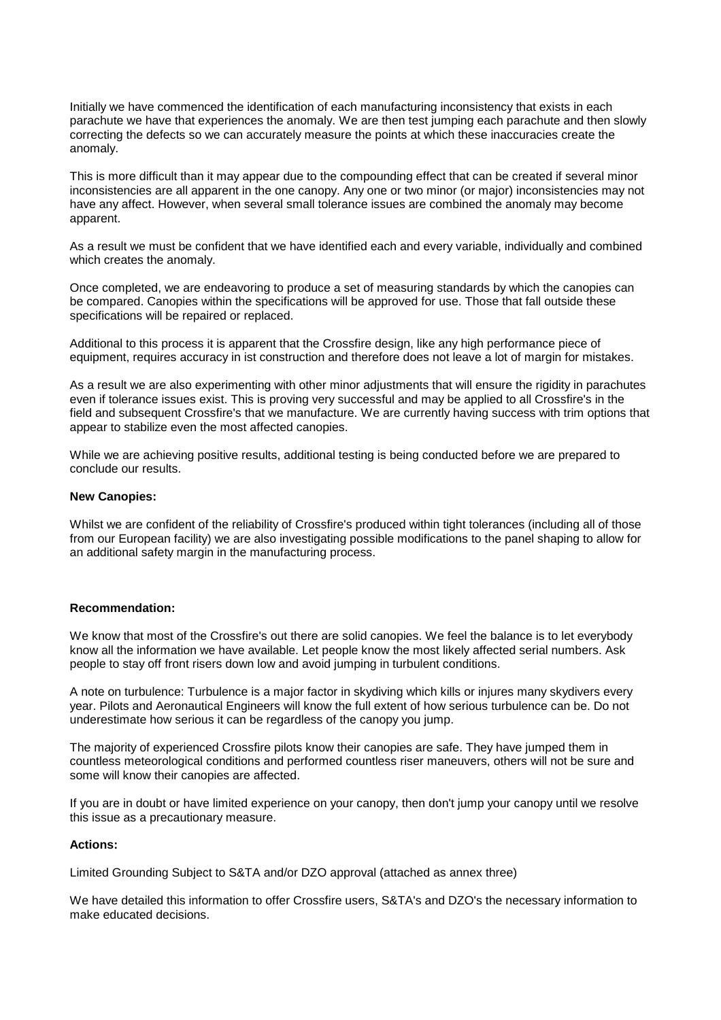Initially we have commenced the identification of each manufacturing inconsistency that exists in each parachute we have that experiences the anomaly. We are then test jumping each parachute and then slowly correcting the defects so we can accurately measure the points at which these inaccuracies create the anomaly.

This is more difficult than it may appear due to the compounding effect that can be created if several minor inconsistencies are all apparent in the one canopy. Any one or two minor (or major) inconsistencies may not have any affect. However, when several small tolerance issues are combined the anomaly may become apparent.

As a result we must be confident that we have identified each and every variable, individually and combined which creates the anomaly.

Once completed, we are endeavoring to produce a set of measuring standards by which the canopies can be compared. Canopies within the specifications will be approved for use. Those that fall outside these specifications will be repaired or replaced.

Additional to this process it is apparent that the Crossfire design, like any high performance piece of equipment, requires accuracy in ist construction and therefore does not leave a lot of margin for mistakes.

As a result we are also experimenting with other minor adjustments that will ensure the rigidity in parachutes even if tolerance issues exist. This is proving very successful and may be applied to all Crossfire's in the field and subsequent Crossfire's that we manufacture. We are currently having success with trim options that appear to stabilize even the most affected canopies.

While we are achieving positive results, additional testing is being conducted before we are prepared to conclude our results.

#### **New Canopies:**

Whilst we are confident of the reliability of Crossfire's produced within tight tolerances (including all of those from our European facility) we are also investigating possible modifications to the panel shaping to allow for an additional safety margin in the manufacturing process.

## **Recommendation:**

We know that most of the Crossfire's out there are solid canopies. We feel the balance is to let everybody know all the information we have available. Let people know the most likely affected serial numbers. Ask people to stay off front risers down low and avoid jumping in turbulent conditions.

A note on turbulence: Turbulence is a major factor in skydiving which kills or injures many skydivers every year. Pilots and Aeronautical Engineers will know the full extent of how serious turbulence can be. Do not underestimate how serious it can be regardless of the canopy you jump.

The majority of experienced Crossfire pilots know their canopies are safe. They have jumped them in countless meteorological conditions and performed countless riser maneuvers, others will not be sure and some will know their canopies are affected.

If you are in doubt or have limited experience on your canopy, then don't jump your canopy until we resolve this issue as a precautionary measure.

# **Actions:**

Limited Grounding Subject to S&TA and/or DZO approval (attached as annex three)

We have detailed this information to offer Crossfire users, S&TA's and DZO's the necessary information to make educated decisions.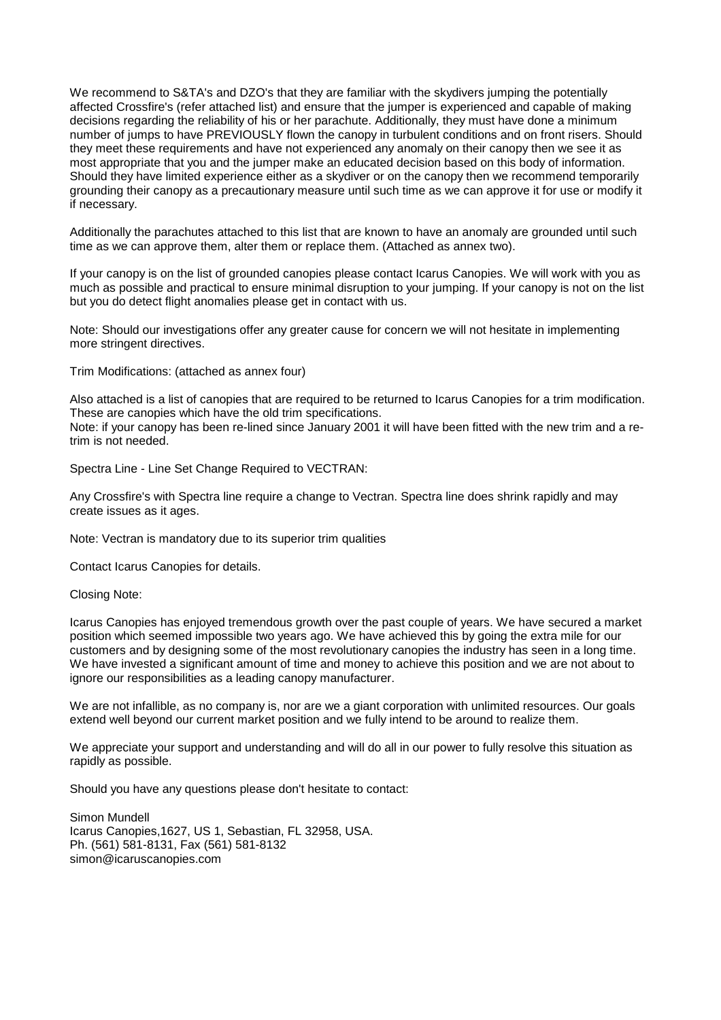We recommend to S&TA's and DZO's that they are familiar with the skydivers jumping the potentially affected Crossfire's (refer attached list) and ensure that the jumper is experienced and capable of making decisions regarding the reliability of his or her parachute. Additionally, they must have done a minimum number of jumps to have PREVIOUSLY flown the canopy in turbulent conditions and on front risers. Should they meet these requirements and have not experienced any anomaly on their canopy then we see it as most appropriate that you and the jumper make an educated decision based on this body of information. Should they have limited experience either as a skydiver or on the canopy then we recommend temporarily grounding their canopy as a precautionary measure until such time as we can approve it for use or modify it if necessary.

Additionally the parachutes attached to this list that are known to have an anomaly are grounded until such time as we can approve them, alter them or replace them. (Attached as annex two).

If your canopy is on the list of grounded canopies please contact Icarus Canopies. We will work with you as much as possible and practical to ensure minimal disruption to your jumping. If your canopy is not on the list but you do detect flight anomalies please get in contact with us.

Note: Should our investigations offer any greater cause for concern we will not hesitate in implementing more stringent directives.

Trim Modifications: (attached as annex four)

Also attached is a list of canopies that are required to be returned to Icarus Canopies for a trim modification. These are canopies which have the old trim specifications.

Note: if your canopy has been re-lined since January 2001 it will have been fitted with the new trim and a retrim is not needed.

Spectra Line - Line Set Change Required to VECTRAN:

Any Crossfire's with Spectra line require a change to Vectran. Spectra line does shrink rapidly and may create issues as it ages.

Note: Vectran is mandatory due to its superior trim qualities

Contact Icarus Canopies for details.

Closing Note:

Icarus Canopies has enjoyed tremendous growth over the past couple of years. We have secured a market position which seemed impossible two years ago. We have achieved this by going the extra mile for our customers and by designing some of the most revolutionary canopies the industry has seen in a long time. We have invested a significant amount of time and money to achieve this position and we are not about to ignore our responsibilities as a leading canopy manufacturer.

We are not infallible, as no company is, nor are we a giant corporation with unlimited resources. Our goals extend well beyond our current market position and we fully intend to be around to realize them.

We appreciate your support and understanding and will do all in our power to fully resolve this situation as rapidly as possible.

Should you have any questions please don't hesitate to contact:

Simon Mundell Icarus Canopies,1627, US 1, Sebastian, FL 32958, USA. Ph. (561) 581-8131, Fax (561) 581-8132 simon@icaruscanopies.com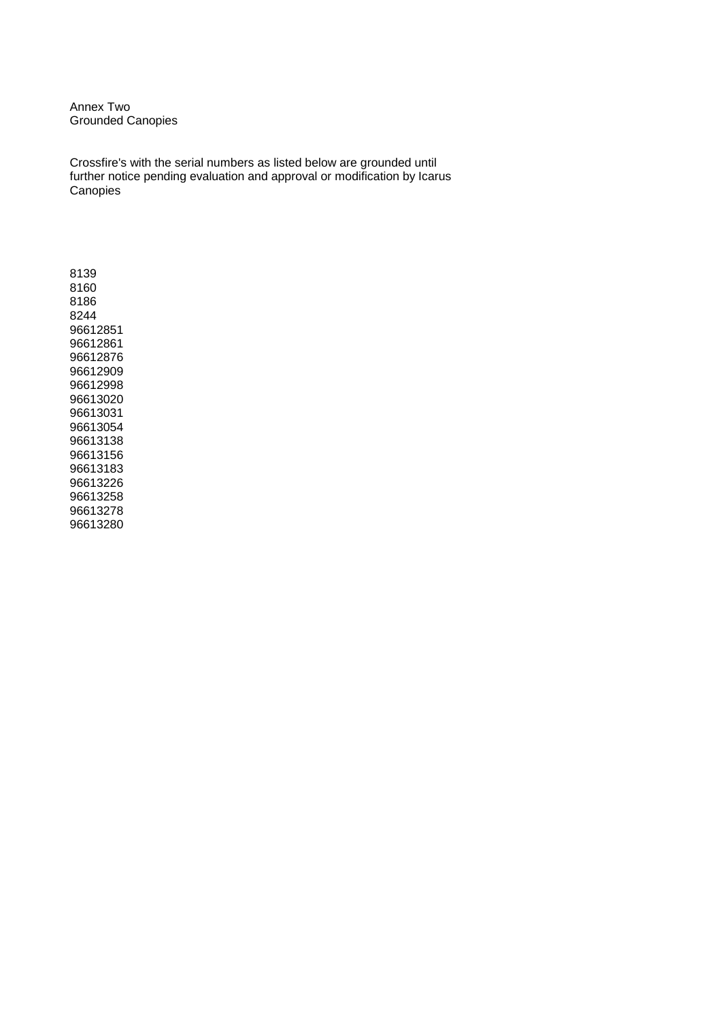Annex Two Grounded Canopies

Crossfire's with the serial numbers as listed below are grounded until further notice pending evaluation and approval or modification by Icarus **Canopies**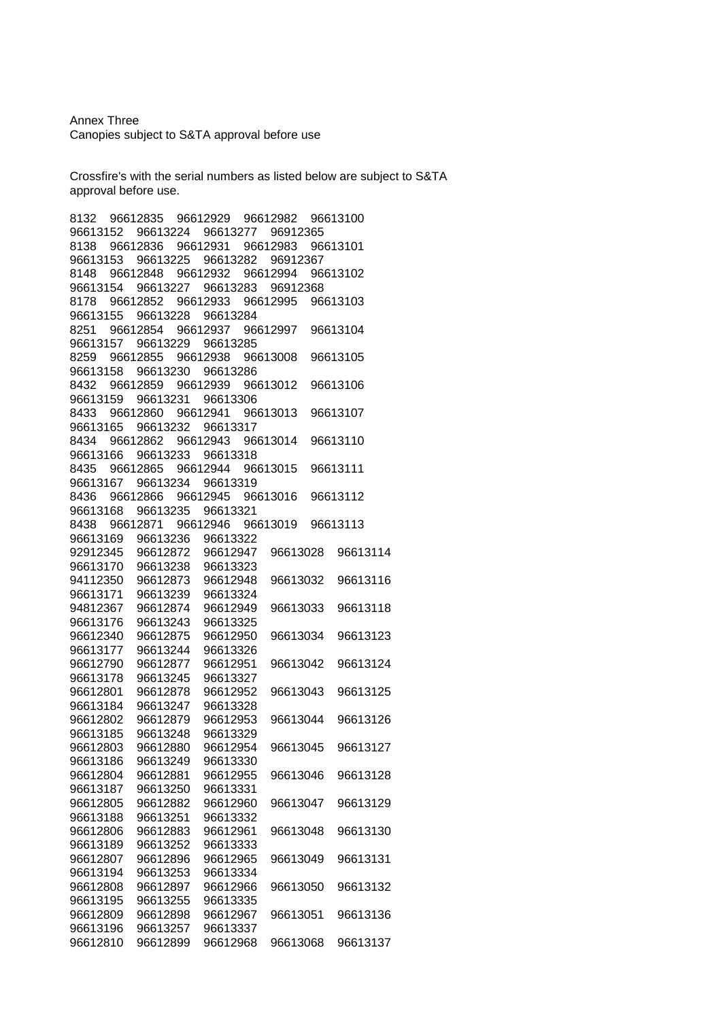## Annex Three Canopies subject to S&TA approval before use

Crossfire's with the serial numbers as listed below are subject to S&TA approval before use.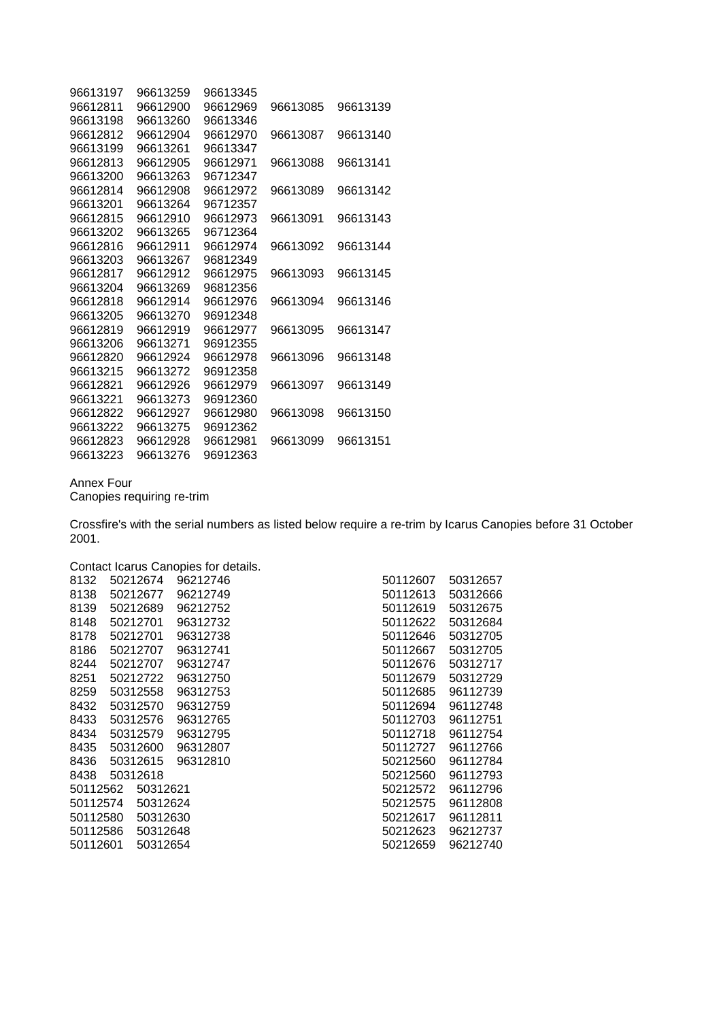| 96613197 | 96613259 | 96613345 |          |          |
|----------|----------|----------|----------|----------|
| 96612811 | 96612900 | 96612969 | 96613085 | 96613139 |
| 96613198 | 96613260 | 96613346 |          |          |
| 96612812 | 96612904 | 96612970 | 96613087 | 96613140 |
| 96613199 | 96613261 | 96613347 |          |          |
| 96612813 | 96612905 | 96612971 | 96613088 | 96613141 |
| 96613200 | 96613263 | 96712347 |          |          |
| 96612814 | 96612908 | 96612972 | 96613089 | 96613142 |
| 96613201 | 96613264 | 96712357 |          |          |
| 96612815 | 96612910 | 96612973 | 96613091 | 96613143 |
| 96613202 | 96613265 | 96712364 |          |          |
| 96612816 | 96612911 | 96612974 | 96613092 | 96613144 |
| 96613203 | 96613267 | 96812349 |          |          |
| 96612817 | 96612912 | 96612975 | 96613093 | 96613145 |
| 96613204 | 96613269 | 96812356 |          |          |
| 96612818 | 96612914 | 96612976 | 96613094 | 96613146 |
| 96613205 | 96613270 | 96912348 |          |          |
| 96612819 | 96612919 | 96612977 | 96613095 | 96613147 |
| 96613206 | 96613271 | 96912355 |          |          |
| 96612820 | 96612924 | 96612978 | 96613096 | 96613148 |
| 96613215 | 96613272 | 96912358 |          |          |
| 96612821 | 96612926 | 96612979 | 96613097 | 96613149 |
| 96613221 | 96613273 | 96912360 |          |          |
| 96612822 | 96612927 | 96612980 | 96613098 | 96613150 |
| 96613222 | 96613275 | 96912362 |          |          |
| 96612823 | 96612928 | 96612981 | 96613099 | 96613151 |
| 96613223 | 96613276 | 96912363 |          |          |

# Annex Four

Canopies requiring re-trim

Crossfire's with the serial numbers as listed below require a re-trim by Icarus Canopies before 31 October 2001.

Contact Icarus Canopies for details.

| 8132     | 50212674 | 96212746 |  |
|----------|----------|----------|--|
| 8138     | 50212677 | 96212749 |  |
| 8139     | 50212689 | 96212752 |  |
| 8148     | 50212701 | 96312732 |  |
| 8178     | 50212701 | 96312738 |  |
| 8186     | 50212707 | 96312741 |  |
| 8244     | 50212707 | 96312747 |  |
| 8251     | 50212722 | 96312750 |  |
| 8259     | 50312558 | 96312753 |  |
| 8432     | 50312570 | 96312759 |  |
| 8433     | 50312576 | 96312765 |  |
| 8434     | 50312579 | 96312795 |  |
| 8435     | 50312600 | 96312807 |  |
| 8436     | 50312615 | 96312810 |  |
| 8438     | 50312618 |          |  |
| 50112562 | 50312621 |          |  |
| 50112574 | 50312624 |          |  |
| 50112580 | 50312630 |          |  |
| 50112586 | 50312648 |          |  |
| 50112601 | 50312654 |          |  |

| 50112607 | 50312657 |
|----------|----------|
| 50112613 | 50312666 |
| 50112619 | 50312675 |
| 50112622 | 50312684 |
| 50112646 | 50312705 |
| 50112667 | 50312705 |
| 50112676 | 50312717 |
| 50112679 | 50312729 |
| 50112685 | 96112739 |
| 50112694 | 96112748 |
| 50112703 | 96112751 |
| 50112718 | 96112754 |
| 50112727 | 96112766 |
| 50212560 | 96112784 |
| 50212560 | 96112793 |
| 50212572 | 96112796 |
| 50212575 | 96112808 |
| 50212617 | 96112811 |
| 50212623 | 96212737 |
| 50212659 | 96212740 |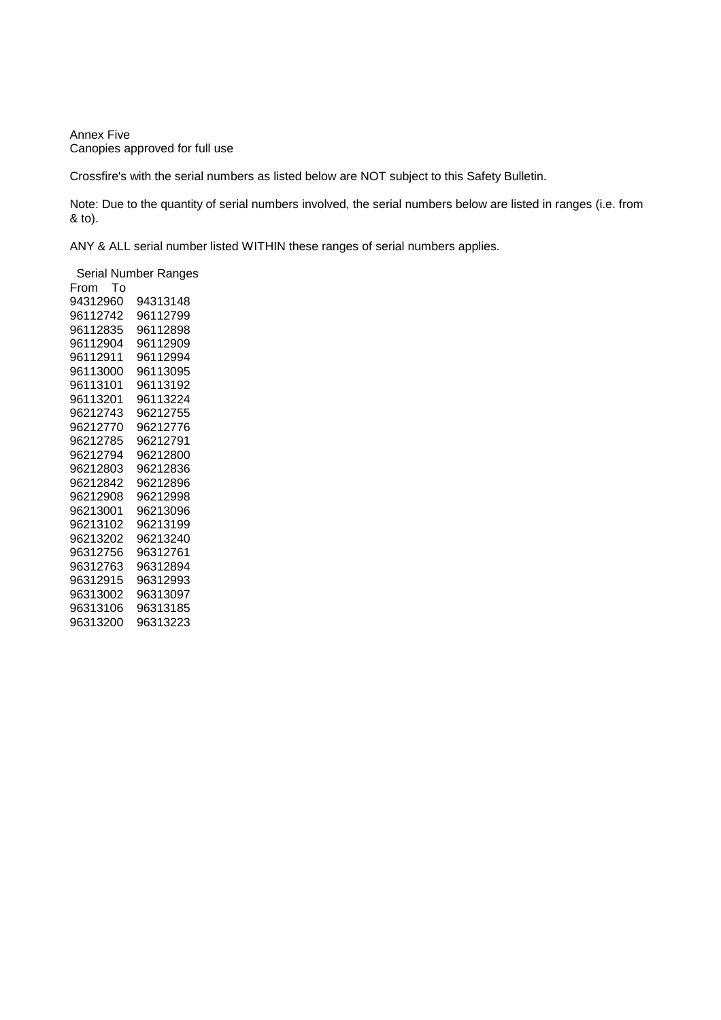Annex Five Canopies approved for full use

Crossfire's with the serial numbers as listed below are NOT subject to this Safety Bulletin.

Note: Due to the quantity of serial numbers involved, the serial numbers below are listed in ranges (i.e. from & to).

ANY & ALL serial number listed WITHIN these ranges of serial numbers applies.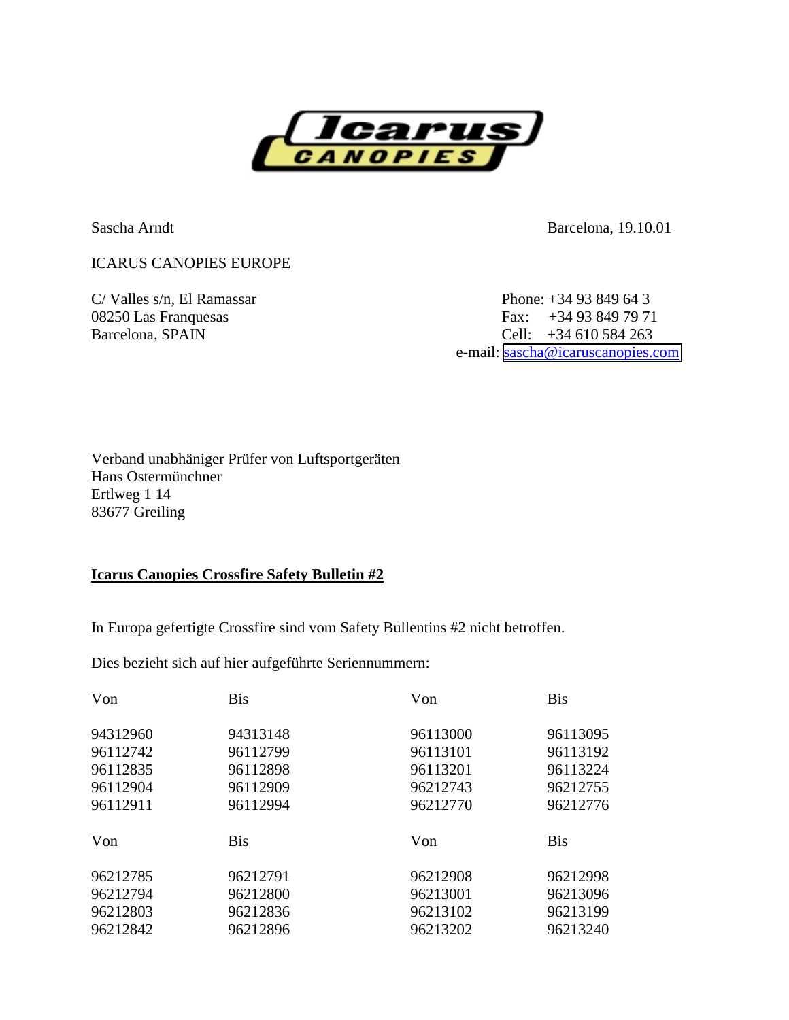

Sascha Arndt Barcelona, 19.10.01

ICARUS CANOPIES EUROPE

 $C/$  Valles s/n, El Ramassar Phone:  $+3493849643$ 08250 Las Franquesas Fax: +34 93 849 79 71 Barcelona, SPAIN Cell: +34 610 584 263 e-mail: [sascha@icaruscanopies.com](mailto:sascha@icaruscanopies.com)

Verband unabhäniger Prüfer von Luftsportgeräten Hans Ostermünchner Ertlweg 1 14 83677 Greiling

# **Icarus Canopies Crossfire Safety Bulletin #2**

In Europa gefertigte Crossfire sind vom Safety Bullentins #2 nicht betroffen.

Dies bezieht sich auf hier aufgeführte Seriennummern:

| Von      | <b>Bis</b> | Von      | <b>Bis</b> |
|----------|------------|----------|------------|
| 94312960 | 94313148   | 96113000 | 96113095   |
| 96112742 | 96112799   | 96113101 | 96113192   |
| 96112835 | 96112898   | 96113201 | 96113224   |
| 96112904 | 96112909   | 96212743 | 96212755   |
| 96112911 | 96112994   | 96212770 | 96212776   |
| Von      | <b>Bis</b> | Von      | <b>Bis</b> |
| 96212785 | 96212791   | 96212908 | 96212998   |
| 96212794 | 96212800   | 96213001 | 96213096   |
| 96212803 | 96212836   | 96213102 | 96213199   |
| 96212842 | 96212896   | 96213202 | 96213240   |